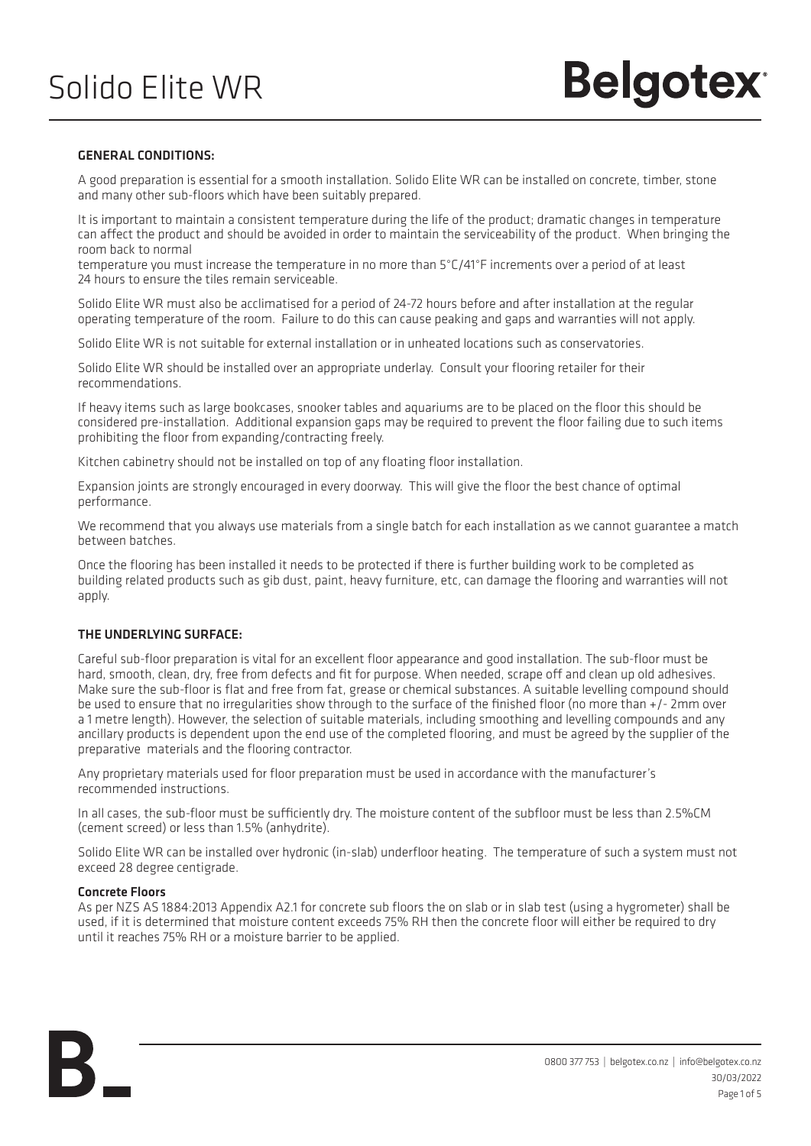### GENERAL CONDITIONS:

A good preparation is essential for a smooth installation. Solido Elite WR can be installed on concrete, timber, stone and many other sub-floors which have been suitably prepared.

It is important to maintain a consistent temperature during the life of the product; dramatic changes in temperature can affect the product and should be avoided in order to maintain the serviceability of the product. When bringing the room back to normal

temperature you must increase the temperature in no more than 5°C/41°F increments over a period of at least 24 hours to ensure the tiles remain serviceable.

Solido Elite WR must also be acclimatised for a period of 24-72 hours before and after installation at the regular operating temperature of the room. Failure to do this can cause peaking and gaps and warranties will not apply.

Solido Elite WR is not suitable for external installation or in unheated locations such as conservatories.

Solido Elite WR should be installed over an appropriate underlay. Consult your flooring retailer for their recommendations.

If heavy items such as large bookcases, snooker tables and aquariums are to be placed on the floor this should be considered pre-installation. Additional expansion gaps may be required to prevent the floor failing due to such items prohibiting the floor from expanding/contracting freely.

Kitchen cabinetry should not be installed on top of any floating floor installation.

Expansion joints are strongly encouraged in every doorway. This will give the floor the best chance of optimal performance.

We recommend that you always use materials from a single batch for each installation as we cannot guarantee a match between batches.

Once the flooring has been installed it needs to be protected if there is further building work to be completed as building related products such as gib dust, paint, heavy furniture, etc, can damage the flooring and warranties will not apply.

### THE UNDERLYING SURFACE:

Careful sub-floor preparation is vital for an excellent floor appearance and good installation. The sub-floor must be hard, smooth, clean, dry, free from defects and fit for purpose. When needed, scrape off and clean up old adhesives. Make sure the sub-floor is flat and free from fat, grease or chemical substances. A suitable levelling compound should be used to ensure that no irregularities show through to the surface of the finished floor (no more than +/- 2mm over a 1 metre length). However, the selection of suitable materials, including smoothing and levelling compounds and any ancillary products is dependent upon the end use of the completed flooring, and must be agreed by the supplier of the preparative materials and the flooring contractor.

Any proprietary materials used for floor preparation must be used in accordance with the manufacturer's recommended instructions.

In all cases, the sub-floor must be sufficiently dry. The moisture content of the subfloor must be less than 2.5%CM (cement screed) or less than 1.5% (anhydrite).

Solido Elite WR can be installed over hydronic (in-slab) underfloor heating. The temperature of such a system must not exceed 28 degree centigrade.

### Concrete Floors

As per NZS AS 1884:2013 Appendix A2.1 for concrete sub floors the on slab or in slab test (using a hygrometer) shall be used, if it is determined that moisture content exceeds 75% RH then the concrete floor will either be required to dry until it reaches 75% RH or a moisture barrier to be applied.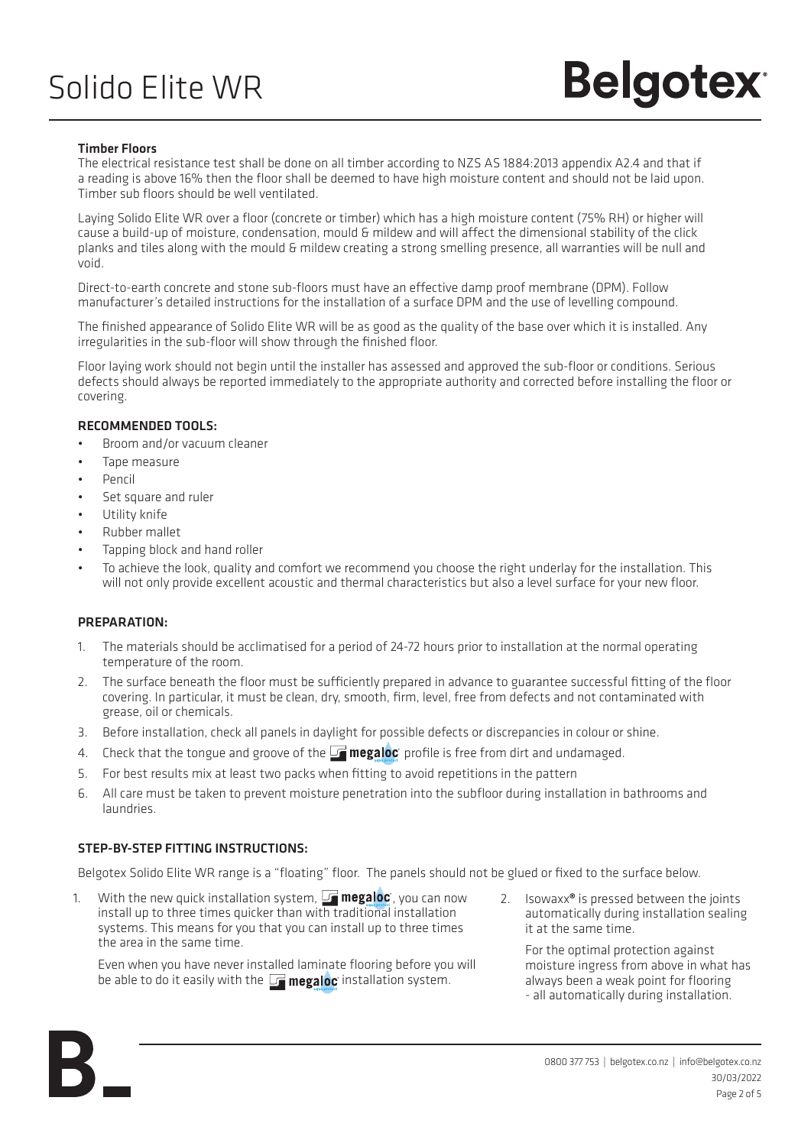# **Belgotex**

### Timber Floors

The electrical resistance test shall be done on all timber according to NZS AS 1884:2013 appendix A2.4 and that if a reading is above 16% then the floor shall be deemed to have high moisture content and should not be laid upon. Timber sub floors should be well ventilated.

Laying Solido Elite WR over a floor (concrete or timber) which has a high moisture content (75% RH) or higher will cause a build-up of moisture, condensation, mould & mildew and will affect the dimensional stability of the click planks and tiles along with the mould & mildew creating a strong smelling presence, all warranties will be null and void.

Direct-to-earth concrete and stone sub-floors must have an effective damp proof membrane (DPM). Follow manufacturer's detailed instructions for the installation of a surface DPM and the use of levelling compound.

The finished appearance of Solido Elite WR will be as good as the quality of the base over which it is installed. Any irregularities in the sub-floor will show through the finished floor.

Floor laying work should not begin until the installer has assessed and approved the sub-floor or conditions. Serious defects should always be reported immediately to the appropriate authority and corrected before installing the floor or covering.

### RECOMMENDED TOOLS:

- Broom and/or vacuum cleaner
- Tape measure
- Pencil
- Set square and ruler
- Utility knife
- Rubber mallet
- Tapping block and hand roller
- To achieve the look, quality and comfort we recommend you choose the right underlay for the installation. This will not only provide excellent acoustic and thermal characteristics but also a level surface for your new floor.

### PREPARATION:

- 1. The materials should be acclimatised for a period of 24-72 hours prior to installation at the normal operating temperature of the room.
- 2. The surface beneath the floor must be sufficiently prepared in advance to guarantee successful fitting of the floor covering. In particular, it must be clean, dry, smooth, firm, level, free from defects and not contaminated with grease, oil or chemicals.
- 3. Before installation, check all panels in daylight for possible defects or discrepancies in colour or shine.
- 4. Check that the tongue and groove of the  $\Box$  megaloc profile is free from dirt and undamaged.
- 5. For best results mix at least two packs when fitting to avoid repetitions in the pattern
- 6. All care must be taken to prevent moisture penetration into the subfloor during installation in bathrooms and laundries.

### STEP-BY-STEP FITTING INSTRUCTIONS:

Belgotex Solido Elite WR range is a "floating" floor. The panels should not be glued or fixed to the surface below.

1. With the new quick installation system,  $\Box$  megaloc, you can now install up to three times quicker than with traditional installation systems. This means for you that you can install up to three times the area in the same time.

Even when you have never installed laminate flooring before you will be able to do it easily with the  $\Box$  megaloc installation system.

2. Isowaxx<sup>®</sup> is pressed between the joints automatically during installation sealing it at the same time.

For the optimal protection against moisture ingress from above in what has always been a weak point for flooring - all automatically during installation.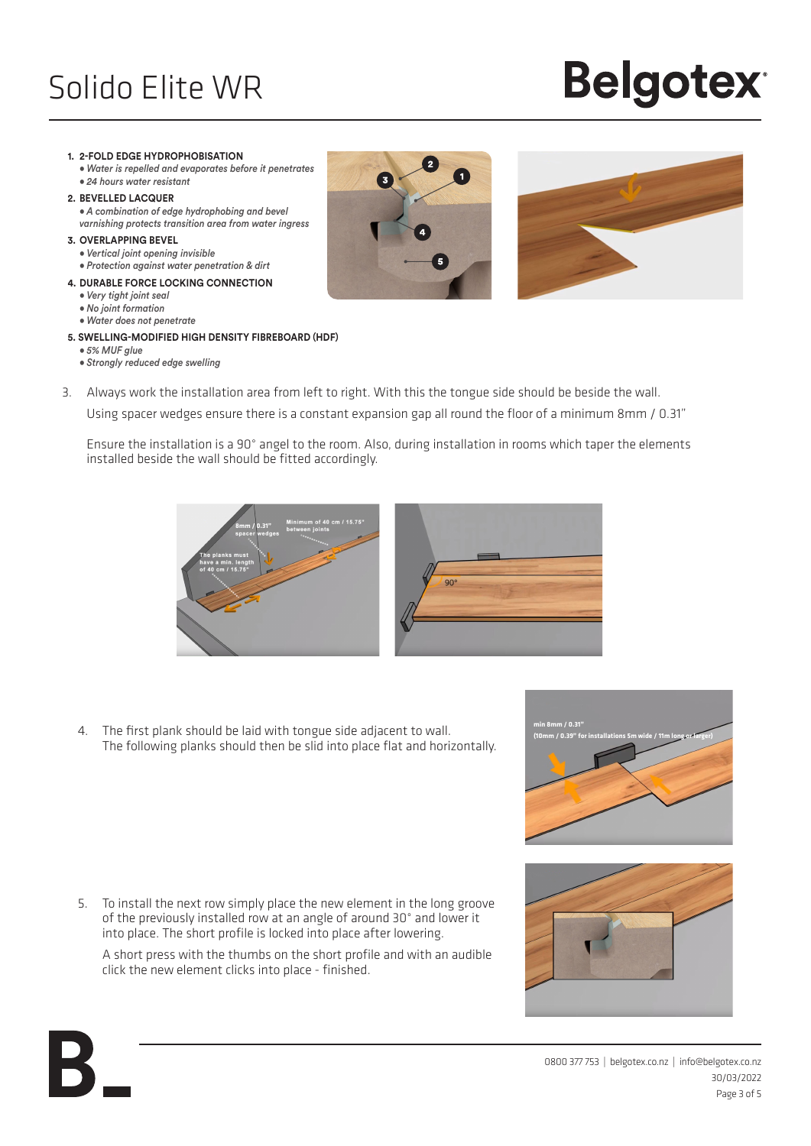# **Belgotex®**

#### **1. 2-FOLD EDGE HYDROPHOBISATION**

**•** *Water is repelled and evaporates before it penetrates* **•** *24 hours water resistant*

#### **2. BEVELLED LACQUER**

**•** *A combination of edge hydrophobing and bevel varnishing protects transition area from water ingress*

#### **3. OVERLAPPING BEVEL**

- *Vertical joint opening invisible*
- *Protection against water penetration & dirt*
- **4. DURABLE FORCE LOCKING CONNECTION**
	- *Very tight joint seal*
	- *No joint formation* **•** *Water does not penetrate*

### **5. SWELLING-MODIFIED HIGH DENSITY FIBREBOARD (HDF)**

- *5% MUF glue*
- *Strongly reduced edge swelling*





3. Always work the installation area from left to right. With this the tongue side should be beside the wall. Using spacer wedges ensure there is a constant expansion gap all round the floor of a minimum 8mm / 0.31"

Ensure the installation is a 90° angel to the room. Also, during installation in rooms which taper the elements installed beside the wall should be fitted accordingly.



4. The first plank should be laid with tongue side adjacent to wall. The following planks should then be slid into place flat and horizontally.

5. To install the next row simply place the new element in the long groove of the previously installed row at an angle of around 30° and lower it into place. The short profile is locked into place after lowering.

A short press with the thumbs on the short profile and with an audible click the new element clicks into place - finished.



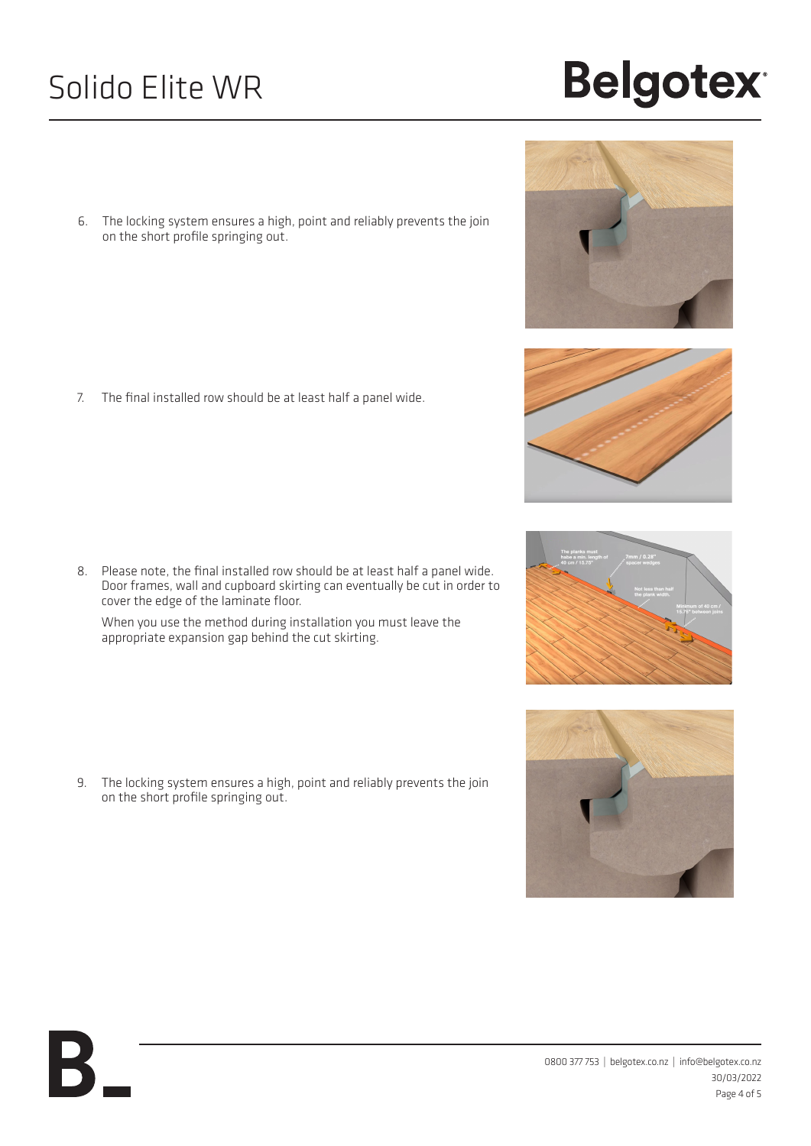6. The locking system ensures a high, point and reliably prevents the join on the short profile springing out.

7. The final installed row should be at least half a panel wide.

8. Please note, the final installed row should be at least half a panel wide. Door frames, wall and cupboard skirting can eventually be cut in order to cover the edge of the laminate floor.

When you use the method during installation you must leave the appropriate expansion gap behind the cut skirting.

9. The locking system ensures a high, point and reliably prevents the join on the short profile springing out.

К